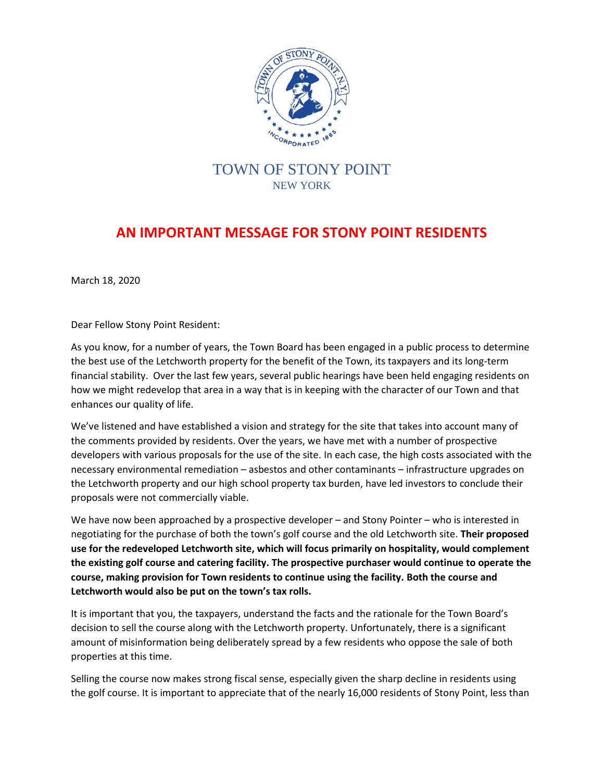

## TOWN OF STONY POINT NEW YORK

## **AN IMPORTANT MESSAGE FOR STONY POINT RESIDENTS**

March 18, 2020

Dear Fellow Stony Point Resident:

As you know, for a number of years, the Town Board has been engaged in a public process to determine the best use of the Letchworth property for the benefit of the Town, its taxpayers and its long-term financial stability. Over the last few years, several public hearings have been held engaging residents on how we might redevelop that area in a way that is in keeping with the character of our Town and that enhances our quality of life.

We've listened and have established a vision and strategy for the site that takes into account many of the comments provided by residents. Over the years, we have met with a number of prospective developers with various proposals for the use of the site. In each case, the high costs associated with the necessary environmental remediation – asbestos and other contaminants – infrastructure upgrades on the Letchworth property and our high school property tax burden, have led investors to conclude their proposals were not commercially viable.

We have now been approached by a prospective developer – and Stony Pointer – who is interested in negotiating for the purchase of both the town's golf course and the old Letchworth site. **Their proposed use for the redeveloped Letchworth site, which will focus primarily on hospitality, would complement the existing golf course and catering facility. The prospective purchaser would continue to operate the course, making provision for Town residents to continue using the facility. Both the course and Letchworth would also be put on the town's tax rolls.** 

It is important that you, the taxpayers, understand the facts and the rationale for the Town Board's decision to sell the course along with the Letchworth property. Unfortunately, there is a significant amount of misinformation being deliberately spread by a few residents who oppose the sale of both properties at this time.

Selling the course now makes strong fiscal sense, especially given the sharp decline in residents using the golf course. It is important to appreciate that of the nearly 16,000 residents of Stony Point, less than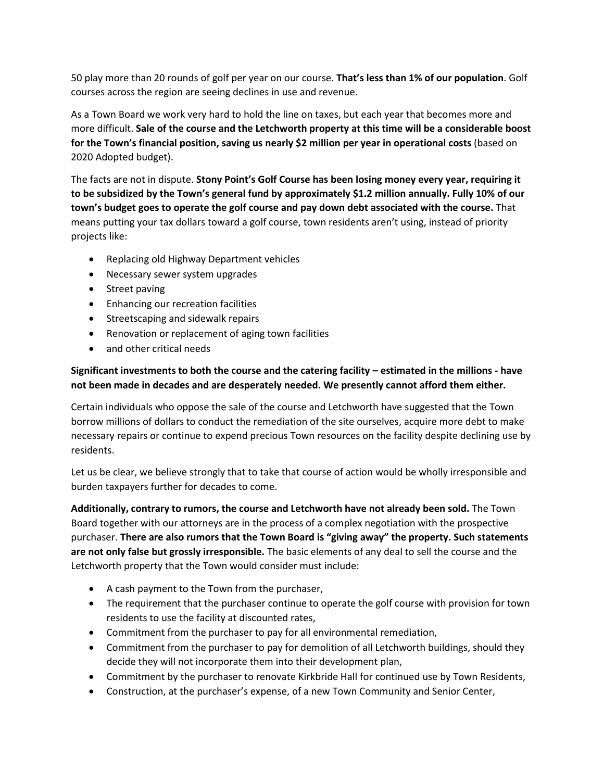50 play more than 20 rounds of golf per year on our course. **That's less than 1% of our population**. Golf courses across the region are seeing declines in use and revenue.

As a Town Board we work very hard to hold the line on taxes, but each year that becomes more and more difficult. **Sale of the course and the Letchworth property at this time will be a considerable boost for the Town's financial position, saving us nearly \$2 million per year in operational costs** (based on 2020 Adopted budget).

The facts are not in dispute. **Stony Point's Golf Course has been losing money every year, requiring it to be subsidized by the Town's general fund by approximately \$1.2 million annually. Fully 10% of our town's budget goes to operate the golf course and pay down debt associated with the course.** That means putting your tax dollars toward a golf course, town residents aren't using, instead of priority projects like:

- Replacing old Highway Department vehicles
- Necessary sewer system upgrades
- Street paving
- Enhancing our recreation facilities
- Streetscaping and sidewalk repairs
- Renovation or replacement of aging town facilities
- and other critical needs

## **Significant investments to both the course and the catering facility – estimated in the millions - have not been made in decades and are desperately needed. We presently cannot afford them either.**

Certain individuals who oppose the sale of the course and Letchworth have suggested that the Town borrow millions of dollars to conduct the remediation of the site ourselves, acquire more debt to make necessary repairs or continue to expend precious Town resources on the facility despite declining use by residents.

Let us be clear, we believe strongly that to take that course of action would be wholly irresponsible and burden taxpayers further for decades to come.

**Additionally, contrary to rumors, the course and Letchworth have not already been sold.** The Town Board together with our attorneys are in the process of a complex negotiation with the prospective purchaser. **There are also rumors that the Town Board is "giving away" the property. Such statements are not only false but grossly irresponsible.** The basic elements of any deal to sell the course and the Letchworth property that the Town would consider must include:

- A cash payment to the Town from the purchaser,
- The requirement that the purchaser continue to operate the golf course with provision for town residents to use the facility at discounted rates,
- Commitment from the purchaser to pay for all environmental remediation,
- Commitment from the purchaser to pay for demolition of all Letchworth buildings, should they decide they will not incorporate them into their development plan,
- Commitment by the purchaser to renovate Kirkbride Hall for continued use by Town Residents,
- Construction, at the purchaser's expense, of a new Town Community and Senior Center,